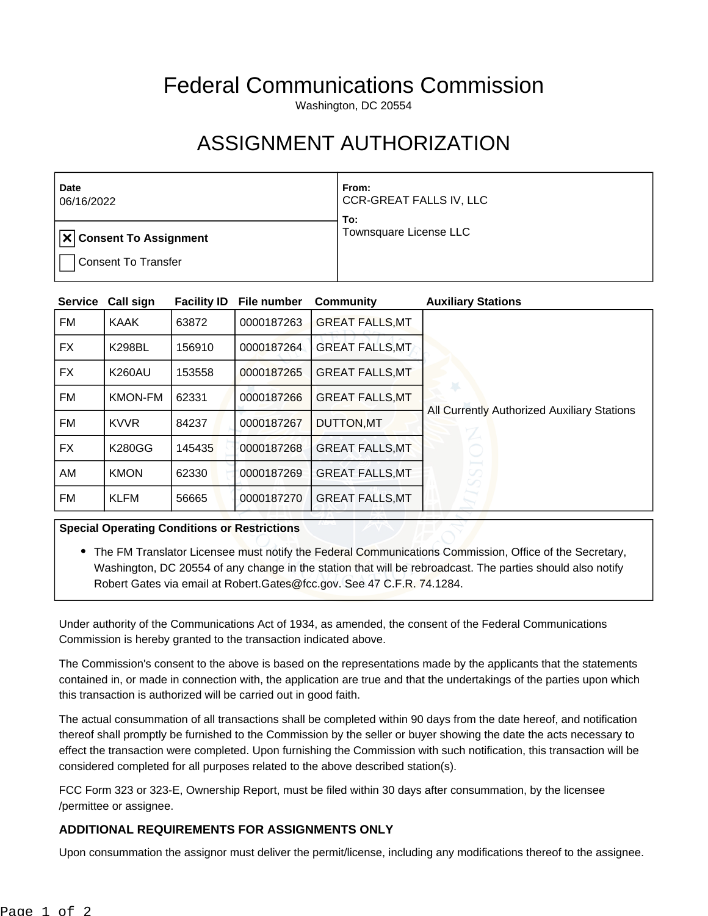## Federal Communications Commission

Washington, DC 20554

## ASSIGNMENT AUTHORIZATION

| Date<br>06/16/2022             | From:<br>CCR-GREAT FALLS IV, LLC<br>To: |  |
|--------------------------------|-----------------------------------------|--|
| <b>X Consent To Assignment</b> | Townsquare License LLC                  |  |
| <b>Consent To Transfer</b>     |                                         |  |

| <b>Service</b> | Call sign      | <b>Facility ID</b> | File number | <b>Community</b>       | <b>Auxiliary Stations</b>                   |
|----------------|----------------|--------------------|-------------|------------------------|---------------------------------------------|
| FM             | <b>KAAK</b>    | 63872              | 0000187263  | <b>GREAT FALLS, MT</b> |                                             |
| FX.            | <b>K298BL</b>  | 156910             | 0000187264  | <b>GREAT FALLS, MT</b> |                                             |
| FX             | <b>K260AU</b>  | 153558             | 0000187265  | <b>GREAT FALLS, MT</b> |                                             |
| <b>FM</b>      | <b>KMON-FM</b> | 62331              | 0000187266  | <b>GREAT FALLS, MT</b> |                                             |
| FM             | <b>KVVR</b>    | 84237              | 0000187267  | <b>DUTTON, MT</b>      | All Currently Authorized Auxiliary Stations |
| <b>FX</b>      | <b>K280GG</b>  | 145435             | 0000187268  | <b>GREAT FALLS, MT</b> |                                             |
| AM             | <b>KMON</b>    | 62330              | 0000187269  | <b>GREAT FALLS, MT</b> | SS                                          |
| FM             | <b>KLFM</b>    | 56665              | 0000187270  | <b>GREAT FALLS, MT</b> |                                             |

## **Special Operating Conditions or Restrictions**

• The FM Translator Licensee must notify the Federal Communications Commission, Office of the Secretary, Washington, DC 20554 of any change in the station that will be rebroadcast. The parties should also notify Robert Gates via email at Robert. Gates@fcc.gov. See 47 C.F.R. 74.1284.

Under authority of the Communications Act of 1934, as amended, the consent of the Federal Communications Commission is hereby granted to the transaction indicated above.

The Commission's consent to the above is based on the representations made by the applicants that the statements contained in, or made in connection with, the application are true and that the undertakings of the parties upon which this transaction is authorized will be carried out in good faith.

The actual consummation of all transactions shall be completed within 90 days from the date hereof, and notification thereof shall promptly be furnished to the Commission by the seller or buyer showing the date the acts necessary to effect the transaction were completed. Upon furnishing the Commission with such notification, this transaction will be considered completed for all purposes related to the above described station(s).

FCC Form 323 or 323-E, Ownership Report, must be filed within 30 days after consummation, by the licensee /permittee or assignee.

## **ADDITIONAL REQUIREMENTS FOR ASSIGNMENTS ONLY**

Upon consummation the assignor must deliver the permit/license, including any modifications thereof to the assignee.